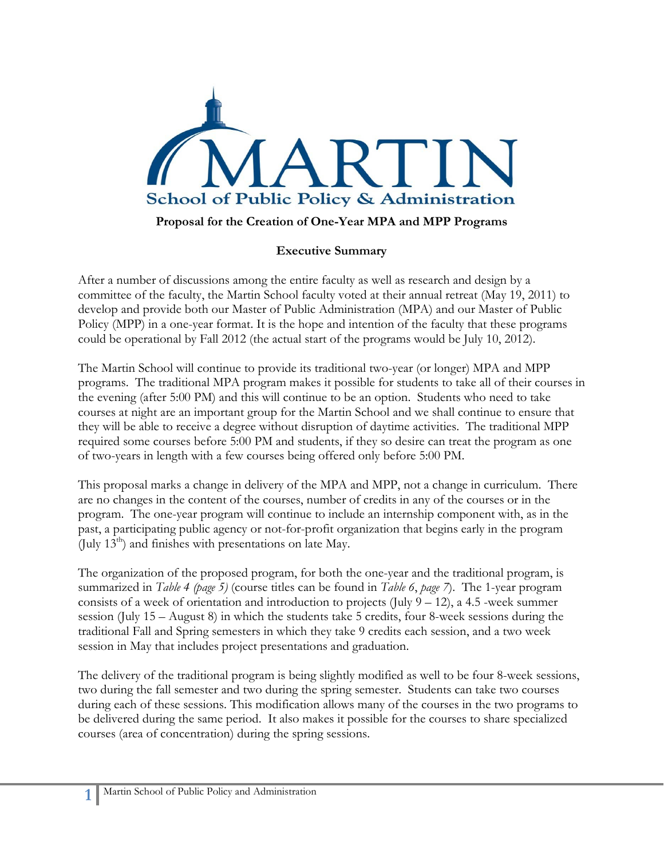

### **Proposal for the Creation of One-Year MPA and MPP Programs**

#### **Executive Summary**

After a number of discussions among the entire faculty as well as research and design by a committee of the faculty, the Martin School faculty voted at their annual retreat (May 19, 2011) to develop and provide both our Master of Public Administration (MPA) and our Master of Public Policy (MPP) in a one-year format. It is the hope and intention of the faculty that these programs could be operational by Fall 2012 (the actual start of the programs would be July 10, 2012).

The Martin School will continue to provide its traditional two-year (or longer) MPA and MPP programs. The traditional MPA program makes it possible for students to take all of their courses in the evening (after 5:00 PM) and this will continue to be an option. Students who need to take courses at night are an important group for the Martin School and we shall continue to ensure that they will be able to receive a degree without disruption of daytime activities. The traditional MPP required some courses before 5:00 PM and students, if they so desire can treat the program as one of two-years in length with a few courses being offered only before 5:00 PM.

This proposal marks a change in delivery of the MPA and MPP, not a change in curriculum. There are no changes in the content of the courses, number of credits in any of the courses or in the program. The one-year program will continue to include an internship component with, as in the past, a participating public agency or not-for-profit organization that begins early in the program (July  $13<sup>th</sup>$ ) and finishes with presentations on late May.

The organization of the proposed program, for both the one-year and the traditional program, is summarized in *Table 4 (page 5)* (course titles can be found in *Table 6*, *page 7*). The 1-year program consists of a week of orientation and introduction to projects (July  $9 - 12$ ), a 4.5 -week summer session (July 15 – August 8) in which the students take 5 credits, four 8-week sessions during the traditional Fall and Spring semesters in which they take 9 credits each session, and a two week session in May that includes project presentations and graduation.

The delivery of the traditional program is being slightly modified as well to be four 8-week sessions, two during the fall semester and two during the spring semester. Students can take two courses during each of these sessions. This modification allows many of the courses in the two programs to be delivered during the same period. It also makes it possible for the courses to share specialized courses (area of concentration) during the spring sessions.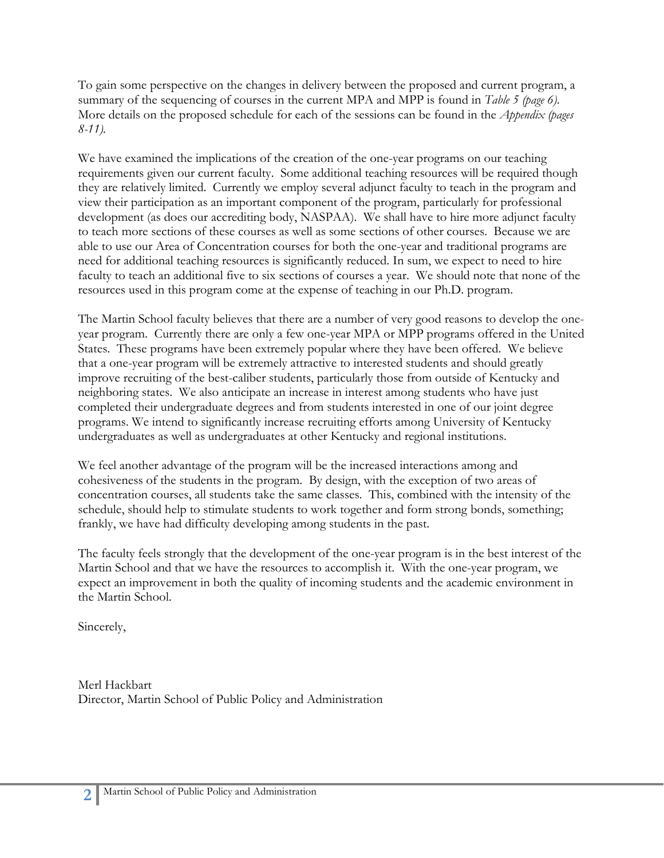To gain some perspective on the changes in delivery between the proposed and current program, a summary of the sequencing of courses in the current MPA and MPP is found in *Table 5 (page 6)*. More details on the proposed schedule for each of the sessions can be found in the *Appendix (pages 8-11).*

We have examined the implications of the creation of the one-year programs on our teaching requirements given our current faculty. Some additional teaching resources will be required though they are relatively limited. Currently we employ several adjunct faculty to teach in the program and view their participation as an important component of the program, particularly for professional development (as does our accrediting body, NASPAA). We shall have to hire more adjunct faculty to teach more sections of these courses as well as some sections of other courses. Because we are able to use our Area of Concentration courses for both the one-year and traditional programs are need for additional teaching resources is significantly reduced. In sum, we expect to need to hire faculty to teach an additional five to six sections of courses a year. We should note that none of the resources used in this program come at the expense of teaching in our Ph.D. program.

The Martin School faculty believes that there are a number of very good reasons to develop the oneyear program. Currently there are only a few one-year MPA or MPP programs offered in the United States. These programs have been extremely popular where they have been offered. We believe that a one-year program will be extremely attractive to interested students and should greatly improve recruiting of the best-caliber students, particularly those from outside of Kentucky and neighboring states. We also anticipate an increase in interest among students who have just completed their undergraduate degrees and from students interested in one of our joint degree programs. We intend to significantly increase recruiting efforts among University of Kentucky undergraduates as well as undergraduates at other Kentucky and regional institutions.

We feel another advantage of the program will be the increased interactions among and cohesiveness of the students in the program. By design, with the exception of two areas of concentration courses, all students take the same classes. This, combined with the intensity of the schedule, should help to stimulate students to work together and form strong bonds, something; frankly, we have had difficulty developing among students in the past.

The faculty feels strongly that the development of the one-year program is in the best interest of the Martin School and that we have the resources to accomplish it. With the one-year program, we expect an improvement in both the quality of incoming students and the academic environment in the Martin School.

Sincerely,

Merl Hackbart Director, Martin School of Public Policy and Administration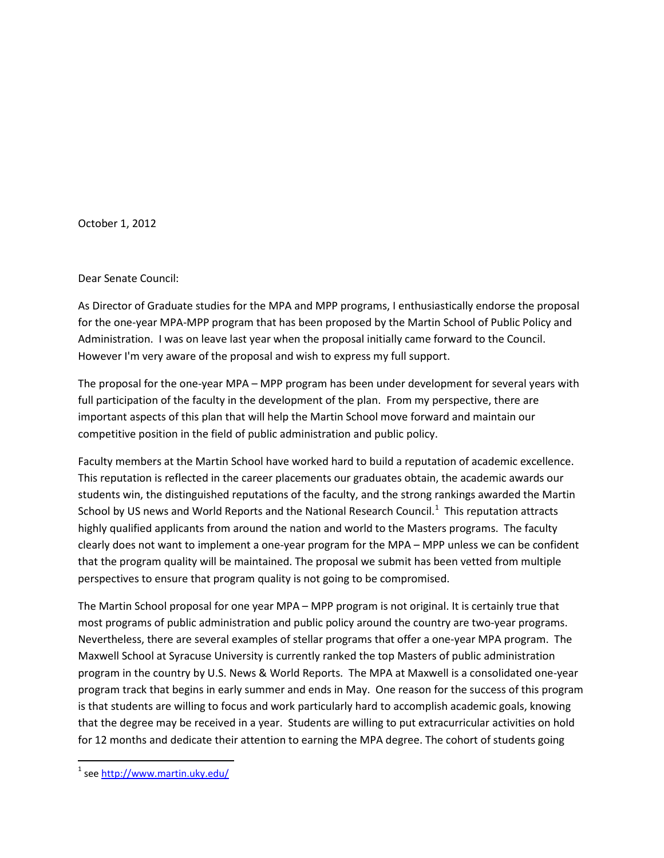October 1, 2012

#### Dear Senate Council:

As Director of Graduate studies for the MPA and MPP programs, I enthusiastically endorse the proposal for the one-year MPA-MPP program that has been proposed by the Martin School of Public Policy and Administration. I was on leave last year when the proposal initially came forward to the Council. However I'm very aware of the proposal and wish to express my full support.

The proposal for the one-year MPA – MPP program has been under development for several years with full participation of the faculty in the development of the plan. From my perspective, there are important aspects of this plan that will help the Martin School move forward and maintain our competitive position in the field of public administration and public policy.

Faculty members at the Martin School have worked hard to build a reputation of academic excellence. This reputation is reflected in the career placements our graduates obtain, the academic awards our students win, the distinguished reputations of the faculty, and the strong rankings awarded the Martin School by US news and World Reports and the National Research Council.<sup>[1](#page-2-0)</sup> This reputation attracts highly qualified applicants from around the nation and world to the Masters programs. The faculty clearly does not want to implement a one-year program for the MPA – MPP unless we can be confident that the program quality will be maintained. The proposal we submit has been vetted from multiple perspectives to ensure that program quality is not going to be compromised.

The Martin School proposal for one year MPA – MPP program is not original. It is certainly true that most programs of public administration and public policy around the country are two-year programs. Nevertheless, there are several examples of stellar programs that offer a one-year MPA program. The Maxwell School at Syracuse University is currently ranked the top Masters of public administration program in the country by U.S. News & World Reports. The MPA at Maxwell is a consolidated one-year program track that begins in early summer and ends in May. One reason for the success of this program is that students are willing to focus and work particularly hard to accomplish academic goals, knowing that the degree may be received in a year. Students are willing to put extracurricular activities on hold for 12 months and dedicate their attention to earning the MPA degree. The cohort of students going

<span id="page-2-0"></span> $1$  se[e http://www.martin.uky.edu/](http://www.martin.uky.edu/)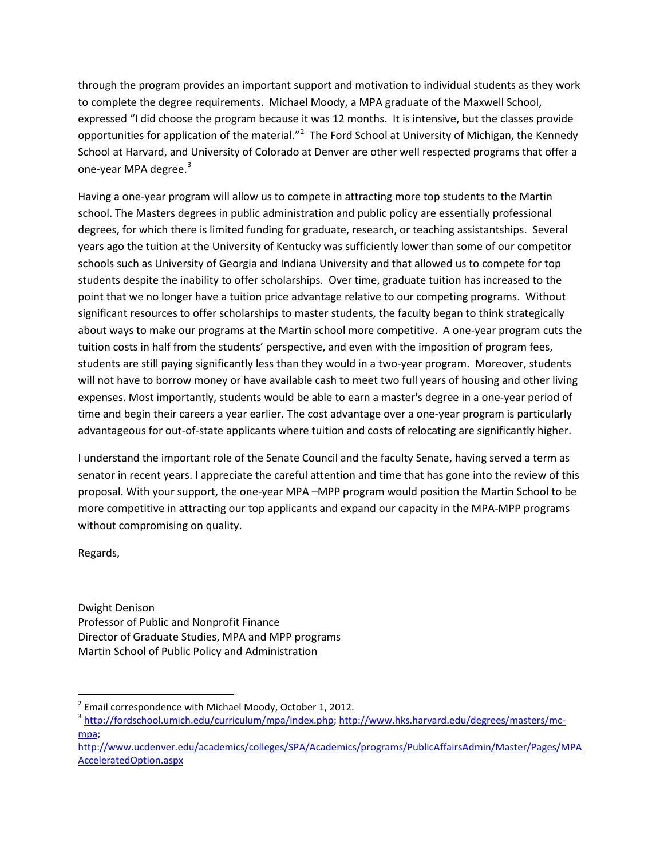through the program provides an important support and motivation to individual students as they work to complete the degree requirements. Michael Moody, a MPA graduate of the Maxwell School, expressed "I did choose the program because it was 12 months. It is intensive, but the classes provide opportunities for application of the material."<sup>[2](#page-3-0)</sup> The Ford School at University of Michigan, the Kennedy School at Harvard, and University of Colorado at Denver are other well respected programs that offer a one-year MPA degree.<sup>[3](#page-3-1)</sup>

Having a one-year program will allow us to compete in attracting more top students to the Martin school. The Masters degrees in public administration and public policy are essentially professional degrees, for which there is limited funding for graduate, research, or teaching assistantships. Several years ago the tuition at the University of Kentucky was sufficiently lower than some of our competitor schools such as University of Georgia and Indiana University and that allowed us to compete for top students despite the inability to offer scholarships. Over time, graduate tuition has increased to the point that we no longer have a tuition price advantage relative to our competing programs. Without significant resources to offer scholarships to master students, the faculty began to think strategically about ways to make our programs at the Martin school more competitive. A one-year program cuts the tuition costs in half from the students' perspective, and even with the imposition of program fees, students are still paying significantly less than they would in a two-year program. Moreover, students will not have to borrow money or have available cash to meet two full years of housing and other living expenses. Most importantly, students would be able to earn a master's degree in a one-year period of time and begin their careers a year earlier. The cost advantage over a one-year program is particularly advantageous for out-of-state applicants where tuition and costs of relocating are significantly higher.

I understand the important role of the Senate Council and the faculty Senate, having served a term as senator in recent years. I appreciate the careful attention and time that has gone into the review of this proposal. With your support, the one-year MPA –MPP program would position the Martin School to be more competitive in attracting our top applicants and expand our capacity in the MPA-MPP programs without compromising on quality.

Regards,

Dwight Denison Professor of Public and Nonprofit Finance Director of Graduate Studies, MPA and MPP programs Martin School of Public Policy and Administration

<span id="page-3-0"></span> $2$  Email correspondence with Michael Moody, October 1, 2012.

<span id="page-3-1"></span><sup>&</sup>lt;sup>3</sup> [http://fordschool.umich.edu/curriculum/mpa/index.php;](http://fordschool.umich.edu/curriculum/mpa/index.php) [http://www.hks.harvard.edu/degrees/masters/mc](http://www.hks.harvard.edu/degrees/masters/mc-mpa)[mpa;](http://www.hks.harvard.edu/degrees/masters/mc-mpa)

[http://www.ucdenver.edu/academics/colleges/SPA/Academics/programs/PublicAffairsAdmin/Master/Pages/MPA](http://www.ucdenver.edu/academics/colleges/SPA/Academics/programs/PublicAffairsAdmin/Master/Pages/MPAAcceleratedOption.aspx) [AcceleratedOption.aspx](http://www.ucdenver.edu/academics/colleges/SPA/Academics/programs/PublicAffairsAdmin/Master/Pages/MPAAcceleratedOption.aspx)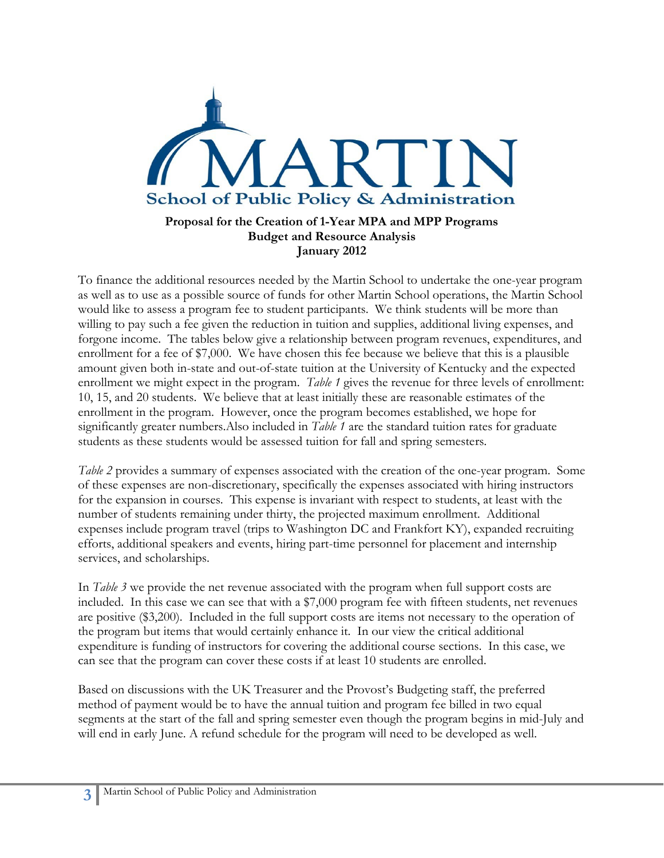

## **Proposal for the Creation of 1-Year MPA and MPP Programs Budget and Resource Analysis January 2012**

To finance the additional resources needed by the Martin School to undertake the one-year program as well as to use as a possible source of funds for other Martin School operations, the Martin School would like to assess a program fee to student participants. We think students will be more than willing to pay such a fee given the reduction in tuition and supplies, additional living expenses, and forgone income. The tables below give a relationship between program revenues, expenditures, and enrollment for a fee of \$7,000. We have chosen this fee because we believe that this is a plausible amount given both in-state and out-of-state tuition at the University of Kentucky and the expected enrollment we might expect in the program. *Table 1* gives the revenue for three levels of enrollment: 10, 15, and 20 students. We believe that at least initially these are reasonable estimates of the enrollment in the program. However, once the program becomes established, we hope for significantly greater numbers.Also included in *Table 1* are the standard tuition rates for graduate students as these students would be assessed tuition for fall and spring semesters.

*Table 2* provides a summary of expenses associated with the creation of the one-year program. Some of these expenses are non-discretionary, specifically the expenses associated with hiring instructors for the expansion in courses. This expense is invariant with respect to students, at least with the number of students remaining under thirty, the projected maximum enrollment. Additional expenses include program travel (trips to Washington DC and Frankfort KY), expanded recruiting efforts, additional speakers and events, hiring part-time personnel for placement and internship services, and scholarships.

In *Table 3* we provide the net revenue associated with the program when full support costs are included. In this case we can see that with a \$7,000 program fee with fifteen students, net revenues are positive (\$3,200). Included in the full support costs are items not necessary to the operation of the program but items that would certainly enhance it. In our view the critical additional expenditure is funding of instructors for covering the additional course sections. In this case, we can see that the program can cover these costs if at least 10 students are enrolled.

Based on discussions with the UK Treasurer and the Provost's Budgeting staff, the preferred method of payment would be to have the annual tuition and program fee billed in two equal segments at the start of the fall and spring semester even though the program begins in mid-July and will end in early June. A refund schedule for the program will need to be developed as well.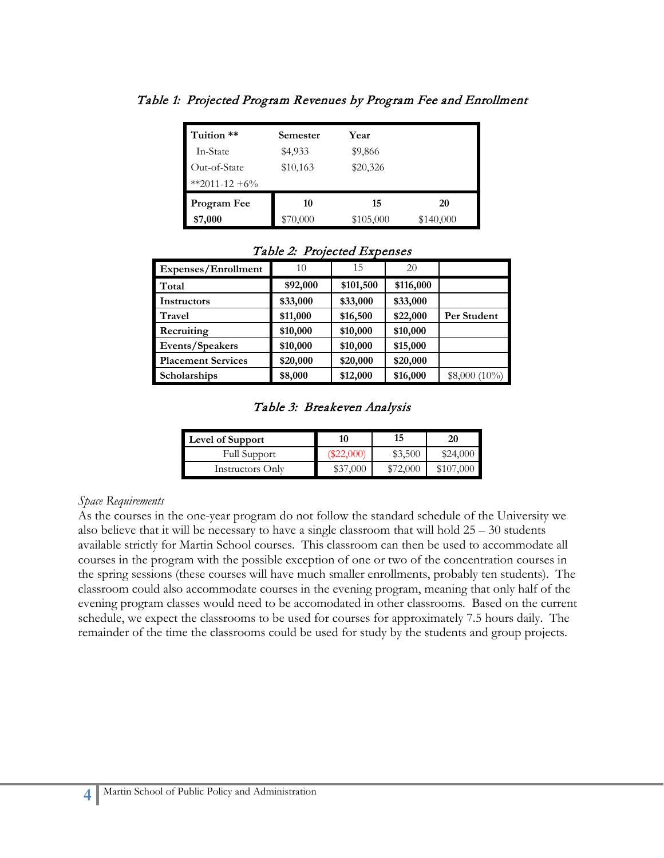| Tuition **    | Semester | Year      |           |
|---------------|----------|-----------|-----------|
| In-State      | \$4,933  | \$9,866   |           |
| Out-of-State  | \$10,163 | \$20,326  |           |
| **2011-12 +6% |          |           |           |
| Program Fee   | 10       | 15        | 20        |
| \$7,000       | \$70,000 | \$105,000 | \$140,000 |

Table 1: Projected Program Revenues by Program Fee and Enrollment

| Expenses/Enrollment       | 10       | 15        | 20        |                 |
|---------------------------|----------|-----------|-----------|-----------------|
| Total                     | \$92,000 | \$101,500 | \$116,000 |                 |
| Instructors               | \$33,000 | \$33,000  | \$33,000  |                 |
| Travel                    | \$11,000 | \$16,500  | \$22,000  | Per Student     |
| Recruiting                | \$10,000 | \$10,000  | \$10,000  |                 |
| Events/Speakers           | \$10,000 | \$10,000  | \$15,000  |                 |
| <b>Placement Services</b> | \$20,000 | \$20,000  | \$20,000  |                 |
| <b>Scholarships</b>       | \$8,000  | \$12,000  | \$16,000  | $$8,000 (10\%)$ |

#### Table 2: Projected Expenses

Table 3: Breakeven Analysis

| Level of Support    | 10       | 15      | 20       |
|---------------------|----------|---------|----------|
| <b>Full Support</b> |          | \$3,500 | \$24,000 |
| Instructors Only    | \$37,000 | 72.000  | $\chi$   |

#### *Space Requirements*

As the courses in the one-year program do not follow the standard schedule of the University we also believe that it will be necessary to have a single classroom that will hold 25 – 30 students available strictly for Martin School courses. This classroom can then be used to accommodate all courses in the program with the possible exception of one or two of the concentration courses in the spring sessions (these courses will have much smaller enrollments, probably ten students). The classroom could also accommodate courses in the evening program, meaning that only half of the evening program classes would need to be accomodated in other classrooms. Based on the current schedule, we expect the classrooms to be used for courses for approximately 7.5 hours daily. The remainder of the time the classrooms could be used for study by the students and group projects.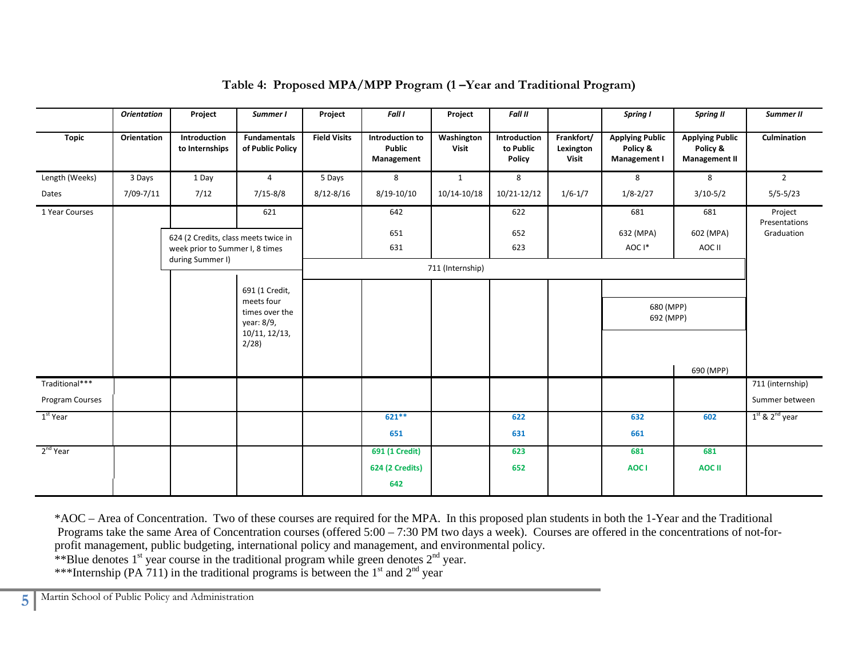|                      | <b>Orientation</b> | Project                              | Summer I                                   | Project             | Fall I                                         | Project                    | <b>Fall II</b>                      |                                  | Spring I                                           | <b>Spring II</b>                                           | Summer II                |
|----------------------|--------------------|--------------------------------------|--------------------------------------------|---------------------|------------------------------------------------|----------------------------|-------------------------------------|----------------------------------|----------------------------------------------------|------------------------------------------------------------|--------------------------|
| <b>Topic</b>         | Orientation        | Introduction<br>to Internships       | <b>Fundamentals</b><br>of Public Policy    | <b>Field Visits</b> | Introduction to<br><b>Public</b><br>Management | Washington<br><b>Visit</b> | Introduction<br>to Public<br>Policy | Frankfort/<br>Lexington<br>Visit | <b>Applying Public</b><br>Policy &<br>Management I | <b>Applying Public</b><br>Policy &<br><b>Management II</b> | Culmination              |
| Length (Weeks)       | 3 Days             | 1 Day                                | $\overline{4}$                             | 5 Days              | 8                                              | $\mathbf{1}$               | 8                                   |                                  | 8                                                  | 8                                                          | $\overline{2}$           |
| Dates                | 7/09-7/11          | 7/12                                 | $7/15 - 8/8$                               | $8/12 - 8/16$       | 8/19-10/10                                     | 10/14-10/18                | 10/21-12/12                         | $1/6 - 1/7$                      | $1/8 - 2/27$                                       | $3/10-5/2$                                                 | $5/5 - 5/23$             |
| 1 Year Courses       |                    |                                      | 621                                        |                     | 642                                            |                            | 622                                 |                                  | 681                                                | 681                                                        | Project<br>Presentations |
|                      |                    | 624 (2 Credits, class meets twice in |                                            |                     | 651                                            |                            | 652                                 |                                  | 632 (MPA)                                          | 602 (MPA)                                                  | Graduation               |
|                      |                    | week prior to Summer I, 8 times      |                                            |                     | 631                                            |                            | 623                                 |                                  | AOC I*                                             | AOC II                                                     |                          |
|                      |                    | during Summer I)                     |                                            |                     |                                                | 711 (Internship)           |                                     |                                  |                                                    |                                                            |                          |
|                      |                    |                                      | 691 (1 Credit,                             |                     |                                                |                            |                                     |                                  |                                                    |                                                            |                          |
|                      |                    |                                      | meets four<br>times over the<br>year: 8/9, |                     |                                                |                            |                                     |                                  | 680 (MPP)<br>692 (MPP)                             |                                                            |                          |
|                      |                    |                                      | 10/11, 12/13,<br>2/28                      |                     |                                                |                            |                                     |                                  |                                                    |                                                            |                          |
| Traditional***       |                    |                                      |                                            |                     |                                                |                            |                                     |                                  |                                                    | 690 (MPP)                                                  | 711 (internship)         |
| Program Courses      |                    |                                      |                                            |                     |                                                |                            |                                     |                                  |                                                    |                                                            | Summer between           |
| 1 <sup>st</sup> Year |                    |                                      |                                            |                     | $621**$                                        |                            | 622                                 |                                  | 632                                                | 602                                                        | $1st$ & $2nd$ year       |
|                      |                    |                                      |                                            |                     | 651                                            |                            | 631                                 |                                  | 661                                                |                                                            |                          |
| $2nd$ Year           |                    |                                      |                                            |                     | 691 (1 Credit)                                 |                            | 623                                 |                                  | 681                                                | 681                                                        |                          |
|                      |                    |                                      |                                            |                     | <b>624 (2 Credits)</b>                         |                            | 652                                 |                                  | AOC I                                              | <b>AOC II</b>                                              |                          |
|                      |                    |                                      |                                            |                     | 642                                            |                            |                                     |                                  |                                                    |                                                            |                          |

## **Table 4: Proposed MPA/MPP Program (1 –Year and Traditional Program)**

\*AOC – Area of Concentration. Two of these courses are required for the MPA. In this proposed plan students in both the 1-Year and the Traditional Programs take the same Area of Concentration courses (offered 5:00 – 7:30 PM two days a week). Courses are offered in the concentrations of not-forprofit management, public budgeting, international policy and management, and environmental policy. \*\*Blue denotes  $1<sup>st</sup>$  year course in the traditional program while green denotes  $2<sup>nd</sup>$  year. \*\*\*Internship (PA 711) in the traditional programs is between the  $1<sup>st</sup>$  and  $2<sup>nd</sup>$  year

**5** Martin School of Public Policy and Administration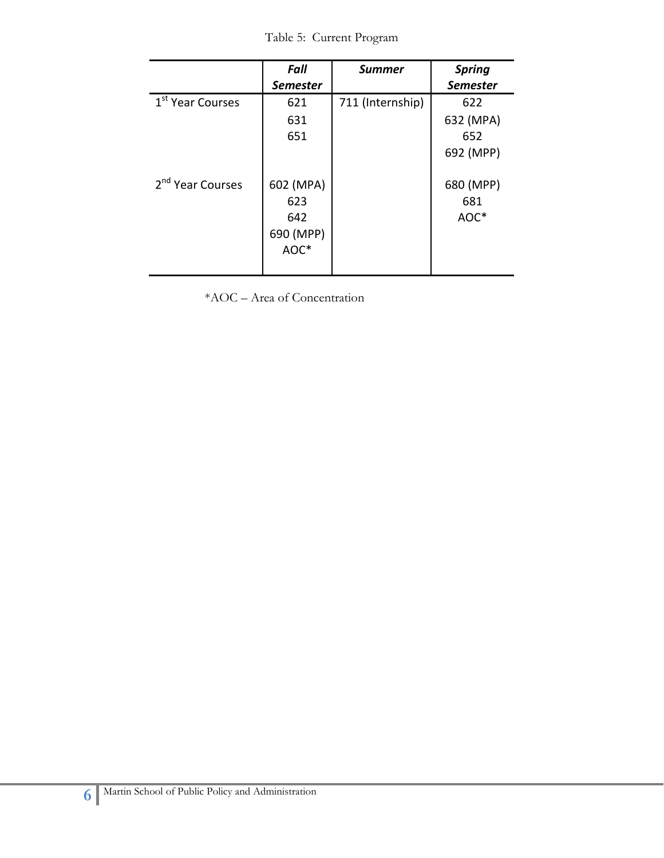Table 5: Current Program

|                              | <b>Fall</b><br><b>Semester</b>               | <b>Summer</b>    | <b>Spring</b><br><b>Semester</b>     |
|------------------------------|----------------------------------------------|------------------|--------------------------------------|
| 1 <sup>st</sup> Year Courses | 621<br>631<br>651                            | 711 (Internship) | 622<br>632 (MPA)<br>652<br>692 (MPP) |
| 2 <sup>nd</sup> Year Courses | 602 (MPA)<br>623<br>642<br>690 (MPP)<br>AOC* |                  | 680 (MPP)<br>681<br>AOC*             |

\*AOC – Area of Concentration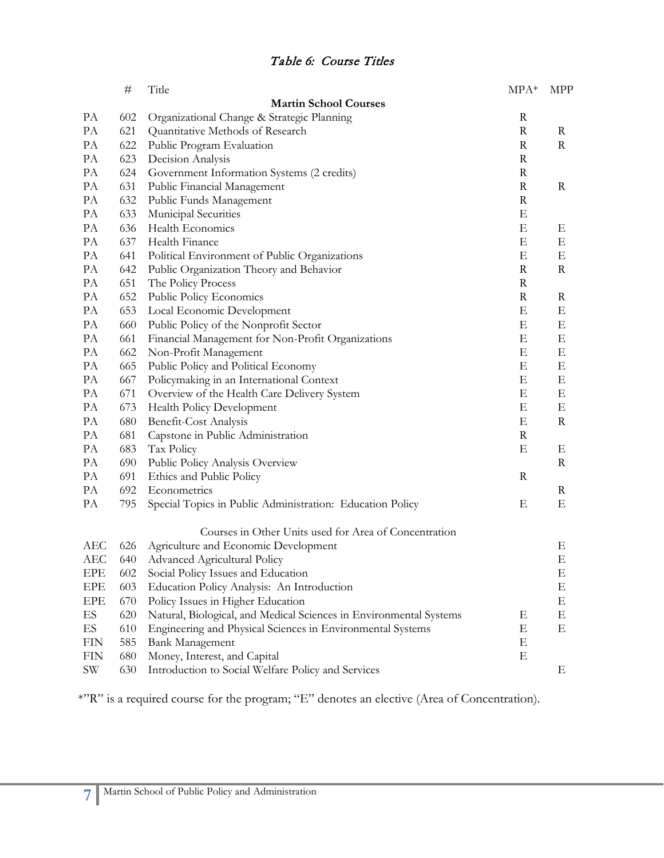|            | $\#$ | Title                                                              | $MPA*$      | <b>MPP</b>  |
|------------|------|--------------------------------------------------------------------|-------------|-------------|
|            |      | <b>Martin School Courses</b>                                       |             |             |
| PA         | 602  | Organizational Change & Strategic Planning                         | $\mathbf R$ |             |
| PA         | 621  | Quantitative Methods of Research                                   | $\mathbf R$ | R           |
| PA         | 622  | Public Program Evaluation                                          | $\mathbf R$ | R           |
| PA         | 623  | Decision Analysis                                                  | $\mathbf R$ |             |
| PA         | 624  | Government Information Systems (2 credits)                         | $\mathbf R$ |             |
| PA         | 631  | Public Financial Management                                        | $\mathbf R$ | $\rm R$     |
| PA         | 632  | Public Funds Management                                            | $\mathbf R$ |             |
| PA         | 633  | Municipal Securities                                               | E           |             |
| PA         | 636  | Health Economics                                                   | E           | Ε           |
| PA         | 637  | Health Finance                                                     | Ε           | Ε           |
| PA         | 641  | Political Environment of Public Organizations                      | Ε           | Ε           |
| PA         | 642  | Public Organization Theory and Behavior                            | $\mathbf R$ | R           |
| PA         | 651  | The Policy Process                                                 | $\mathbf R$ |             |
| PA         | 652  | Public Policy Economics                                            | $\mathbf R$ | R           |
| PA         | 653  | Local Economic Development                                         | Ε           | Ε           |
| PA         | 660  | Public Policy of the Nonprofit Sector                              | Ε           | E           |
| PA         | 661  | Financial Management for Non-Profit Organizations                  | E           | Ε           |
| PA         | 662  | Non-Profit Management                                              | Ε           | Ε           |
| PA         | 665  | Public Policy and Political Economy                                | E           | Ε           |
| PA         | 667  | Policymaking in an International Context                           | Ε           | E           |
| PA         | 671  | Overview of the Health Care Delivery System                        | Ε           | E           |
| PA         | 673  | Health Policy Development                                          | Ε           | Ε           |
| PA         | 680  | Benefit-Cost Analysis                                              | Ε           | $\mathbf R$ |
| PA         | 681  | Capstone in Public Administration                                  | $\mathbf R$ |             |
| PA         | 683  | Tax Policy                                                         | Ε           | Ε           |
| PA         | 690  | Public Policy Analysis Overview                                    |             | R           |
| PA         | 691  | Ethics and Public Policy                                           | $\mathbf R$ |             |
| PA         | 692  | Econometrics                                                       |             | R           |
| PA         | 795  | Special Topics in Public Administration: Education Policy          | Ε           | Ε           |
|            |      | Courses in Other Units used for Area of Concentration              |             |             |
| AEC        | 626  | Agriculture and Economic Development                               |             | Ε           |
| <b>AEC</b> | 640  | <b>Advanced Agricultural Policy</b>                                |             | E           |
| EPE        | 602  | Social Policy Issues and Education                                 |             | Ε           |
| EPE        | 603  | Education Policy Analysis: An Introduction                         |             | E           |
| EPE        | 670  | Policy Issues in Higher Education                                  |             | E           |
| ES         | 620  | Natural, Biological, and Medical Sciences in Environmental Systems | Ε           | E           |
| ES         | 610  | Engineering and Physical Sciences in Environmental Systems         | Ε           | Ε           |
| <b>FIN</b> | 585  | <b>Bank Management</b>                                             | Ε           |             |
| <b>FIN</b> | 680  | Money, Interest, and Capital                                       | Ε           |             |
| <b>SW</b>  | 630  | Introduction to Social Welfare Policy and Services                 |             | Ε           |

\*"R" is a required course for the program; "E" denotes an elective (Area of Concentration).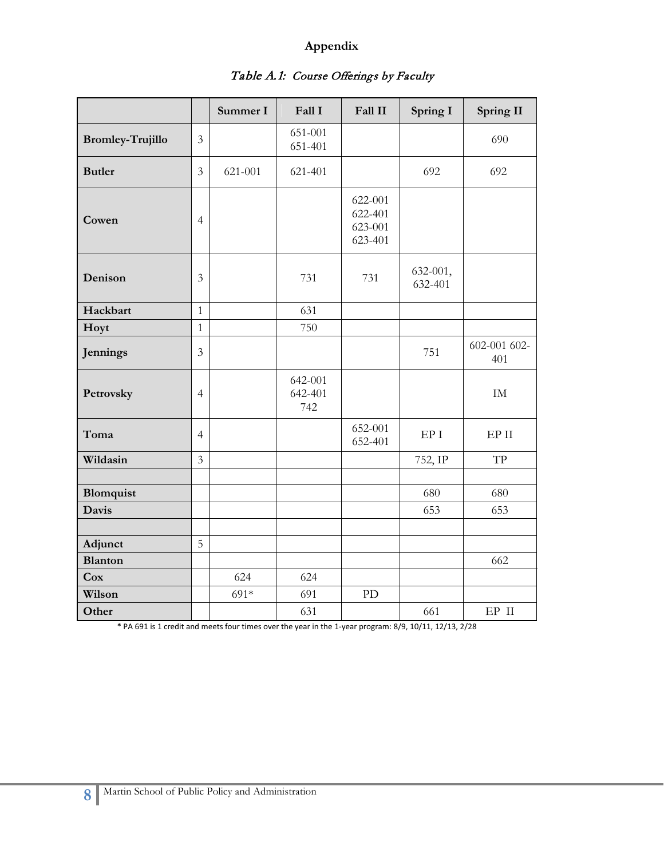### **Appendix**

|                         |                | Summer I | Fall I                    | Fall II                                  | Spring I            | <b>Spring II</b>    |
|-------------------------|----------------|----------|---------------------------|------------------------------------------|---------------------|---------------------|
| <b>Bromley-Trujillo</b> | $\mathfrak{Z}$ |          | 651-001<br>651-401        |                                          |                     | 690                 |
| <b>Butler</b>           | $\overline{3}$ | 621-001  | 621-401                   |                                          | 692                 | 692                 |
| Cowen                   | $\overline{4}$ |          |                           | 622-001<br>622-401<br>623-001<br>623-401 |                     |                     |
| Denison                 | 3              |          | 731                       | 731                                      | 632-001,<br>632-401 |                     |
| Hackbart                | $\mathbf{1}$   |          | 631                       |                                          |                     |                     |
| Hoyt                    | $\mathbf{1}$   |          | 750                       |                                          |                     |                     |
| Jennings                | $\overline{3}$ |          |                           |                                          | 751                 | 602-001 602-<br>401 |
| Petrovsky               | $\overline{4}$ |          | 642-001<br>642-401<br>742 |                                          |                     | IM                  |
| Toma                    | $\overline{4}$ |          |                           | 652-001<br>652-401                       | EP <sub>I</sub>     | EPII                |
| Wildasin                | $\mathfrak{Z}$ |          |                           |                                          | 752, IP             | TP                  |
|                         |                |          |                           |                                          |                     |                     |
| Blomquist               |                |          |                           |                                          | 680                 | 680                 |
| <b>Davis</b>            |                |          |                           |                                          | 653                 | 653                 |
|                         |                |          |                           |                                          |                     |                     |
| Adjunct                 | 5              |          |                           |                                          |                     |                     |
| <b>Blanton</b>          |                |          |                           |                                          |                     | 662                 |
| Cox                     |                | 624      | 624                       |                                          |                     |                     |
| Wilson                  |                | 691*     | 691                       | PD                                       |                     |                     |
| Other                   |                |          | 631                       |                                          | 661                 | EP II               |

# Table A.1: Course Offerings by Faculty

\* PA 691 is 1 credit and meets four times over the year in the 1-year program: 8/9, 10/11, 12/13, 2/28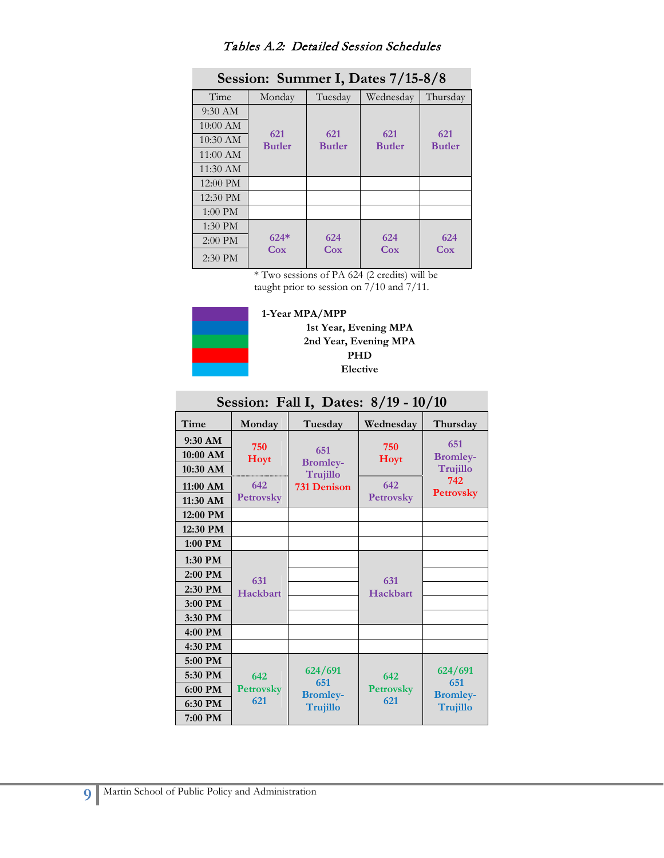## Tables A.2: Detailed Session Schedules

| Session: Summer I, Dates 7/15-8/8 |                      |               |                      |               |  |
|-----------------------------------|----------------------|---------------|----------------------|---------------|--|
| Time                              | Monday               | Tuesday       | Wednesday            | Thursday      |  |
| 9:30 AM                           |                      |               |                      |               |  |
| 10:00 AM                          |                      | 621           |                      | 621           |  |
| $10:30$ AM                        | 621<br><b>Butler</b> | <b>Butler</b> | 621<br><b>Butler</b> | <b>Butler</b> |  |
| $11:00 \text{ AM}$                |                      |               |                      |               |  |
| $11:30 \text{ AM}$                |                      |               |                      |               |  |
| 12:00 PM                          |                      |               |                      |               |  |
| 12:30 PM                          |                      |               |                      |               |  |
| 1:00 PM                           |                      |               |                      |               |  |
| 1:30 PM                           |                      |               |                      |               |  |
| 2:00 PM                           | $624*$               | 624           | 624                  | 624           |  |
| $2:30$ PM                         | $\cos$               | Cox           | Cox                  | Cox           |  |

\* Two sessions of PA 624 (2 credits) will be taught prior to session on 7/10 and 7/11.



**1-Year MPA/MPP 1st Year, Evening MPA 2nd Year, Evening MPA PHD Elective**

| Session: Fall I, Dates: 8/19 - 10/10 |                         |                                |                         |                                    |
|--------------------------------------|-------------------------|--------------------------------|-------------------------|------------------------------------|
| Time                                 | Monday                  | Tuesday                        | Wednesday               | Thursday                           |
| $9:30$ AM<br>10:00 AM<br>10:30 AM    | 750<br>Hoyt             | 651<br><b>Bromley-</b>         | 750<br><b>Hoyt</b>      | 651<br><b>Bromley-</b><br>Trujillo |
| $11:00$ AM<br>11:30 AM               | 642<br><b>Petrovsky</b> | Trujillo<br><b>731 Denison</b> | 642<br><b>Petrovsky</b> | 742<br><b>Petrovsky</b>            |
| 12:00 PM                             |                         |                                |                         |                                    |
| 12:30 PM                             |                         |                                |                         |                                    |
| 1:00 PM                              |                         |                                |                         |                                    |
| 1:30 PM                              |                         |                                |                         |                                    |
| $2:00$ PM                            | 631                     |                                | 631                     |                                    |
| 2:30 PM                              | Hackbart                |                                | Hackbart                |                                    |
| 3:00 PM                              |                         |                                |                         |                                    |
| 3:30 PM                              |                         |                                |                         |                                    |
| 4:00 PM                              |                         |                                |                         |                                    |
| 4:30 PM                              |                         |                                |                         |                                    |
| 5:00 PM                              |                         |                                |                         |                                    |
| 5:30 PM                              | 642                     | 624/691                        | 642                     | 624/691                            |
| 6:00 PM                              | <b>Petrovsky</b>        | 651<br><b>Bromley-</b>         | <b>Petrovsky</b>        | 651<br><b>Bromley-</b>             |
| 6:30 PM                              | 621                     | <b>Trujillo</b>                | 621                     | Trujillo                           |
| 7:00 PM                              |                         |                                |                         |                                    |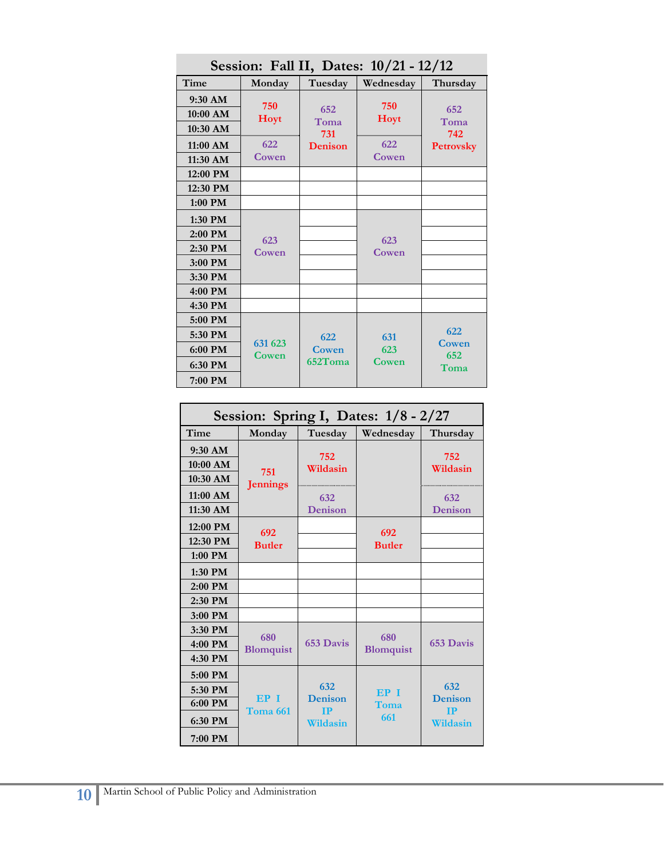| Session: Fall II, Dates: 10/21 - 12/12     |                  |                |                    |                         |  |
|--------------------------------------------|------------------|----------------|--------------------|-------------------------|--|
| Time                                       | Monday           | Tuesday        | Wednesday          | Thursday                |  |
| 9:30 AM<br>$10:00$ AM<br>$10:30$ AM        | 750<br>Hoyt      | 652<br>Toma    | 750<br><b>Hoyt</b> | 652<br>Toma             |  |
| $11:00$ AM<br>11:30 AM                     | 622<br>Cowen     | 731<br>Denison | 622<br>Cowen       | 742<br><b>Petrovsky</b> |  |
| $12:00$ PM                                 |                  |                |                    |                         |  |
| 12:30 PM                                   |                  |                |                    |                         |  |
| 1:00 PM                                    |                  |                |                    |                         |  |
| 1:30 PM<br>$2:00$ PM<br>2:30 PM<br>3:00 PM | 623<br>Cowen     |                | 623<br>Cowen       |                         |  |
| 3:30 PM                                    |                  |                |                    |                         |  |
| 4:00 PM                                    |                  |                |                    |                         |  |
| 4:30 PM                                    |                  |                |                    |                         |  |
| 5:00 PM<br>5:30 PM                         |                  | 622            | 631                | 622                     |  |
| 6:00 PM                                    | 631 623<br>Cowen | Cowen          | 623                | Cowen<br>652            |  |
| 6:30 PM                                    |                  | 652Toma        | Cowen              | Toma                    |  |
| 7:00 PM                                    |                  |                |                    |                         |  |

**Session: Spring I, Dates: 1/8 - 2/27 Time Monday Tuesday Wednesday Thursday 9:30 AM 751 Jennings 752 Wildasin Wildasin Wildasin Wildasin 752 10:30 AM 11:00 AM 632**<br>**11:30 AM 632**<br>**Denise 11:30 AM Denison Denison 632 12:00 PM <sup>692</sup> Butler 692 Butler 12:30 PM Butler 12:30 PM 1:00 PM 1:30 PM 2:00 PM 2:30 PM 3:00 PM 3:30 PM 680 Blomquist 653 Davis <sup>680</sup> <u>Blomquist</u> 653 Davis Blomquist 653 Davis 4:30 PM 5:00 PM EP I Toma 661 632 Denison IP Wildasin EP I Toma 661 632 Denison IP Wildasin 5:30 PM 6:00 PM 6:30 PM 7:00 PM**